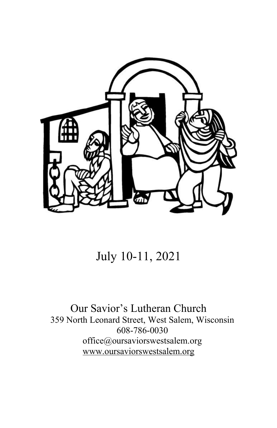

# July 10-11, 2021

## Our Savior's Lutheran Church 359 North Leonard Street, West Salem, Wisconsin 608-786-0030 office@oursaviorswestsalem.org [www.oursaviorswestsalem.org](http://www.oursaviorswestsalem.org/)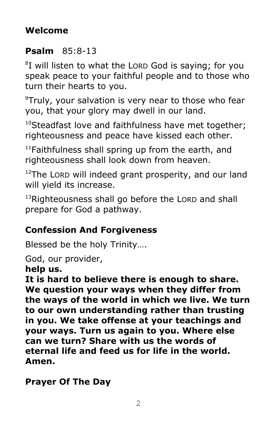# **Welcome**

# **Psalm** 85:8-13

<sup>8</sup>I will listen to what the LORD God is saying; for you speak peace to your faithful people and to those who turn their hearts to you.

 $\rm{P}$ Truly, your salvation is very near to those who fear you, that your glory may dwell in our land.

 $10$ Steadfast love and faithfulness have met together: righteousness and peace have kissed each other.

 $11$ Faithfulness shall spring up from the earth, and righteousness shall look down from heaven.

 $12$ The LORD will indeed grant prosperity, and our land will yield its increase.

<sup>13</sup>Righteousness shall go before the LORD and shall prepare for God a pathway.

# **Confession And Forgiveness**

Blessed be the holy Trinity….

God, our provider,

**help us.**

**It is hard to believe there is enough to share. We question your ways when they differ from the ways of the world in which we live. We turn to our own understanding rather than trusting in you. We take offense at your teachings and your ways. Turn us again to you. Where else can we turn? Share with us the words of eternal life and feed us for life in the world. Amen.**

**Prayer Of The Day**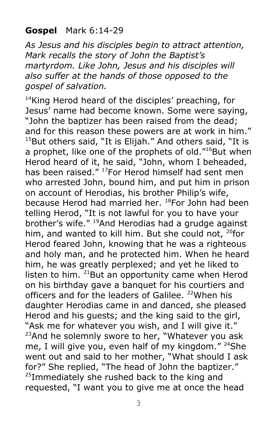### **Gospel** Mark 6:14-29

*As Jesus and his disciples begin to attract attention, Mark recalls the story of John the Baptist's martyrdom. Like John, Jesus and his disciples will also suffer at the hands of those opposed to the gospel of salvation.*

<sup>14</sup>King Herod heard of the disciples' preaching, for Jesus' name had become known. Some were saying, "John the baptizer has been raised from the dead; and for this reason these powers are at work in him."  $15$ But others said, "It is Elijah." And others said, "It is a prophet, like one of the prophets of old."<sup>16</sup>But when Herod heard of it, he said, "John, whom I beheaded, has been raised." <sup>17</sup>For Herod himself had sent men who arrested John, bound him, and put him in prison on account of Herodias, his brother Philip's wife, because Herod had married her. <sup>18</sup>For John had been telling Herod, "It is not lawful for you to have your brother's wife." <sup>19</sup>And Herodias had a grudge against him, and wanted to kill him. But she could not,  $^{20}$ for Herod feared John, knowing that he was a righteous and holy man, and he protected him. When he heard him, he was greatly perplexed; and yet he liked to listen to him.  $21$ But an opportunity came when Herod on his birthday gave a banquet for his courtiers and officers and for the leaders of Galilee. <sup>22</sup>When his daughter Herodias came in and danced, she pleased Herod and his guests; and the king said to the girl, "Ask me for whatever you wish, and I will give it." <sup>23</sup>And he solemnly swore to her, "Whatever you ask me, I will give you, even half of my kingdom." <sup>24</sup>She went out and said to her mother, "What should I ask for?" She replied, "The head of John the baptizer."  $^{25}$ Immediately she rushed back to the king and requested, "I want you to give me at once the head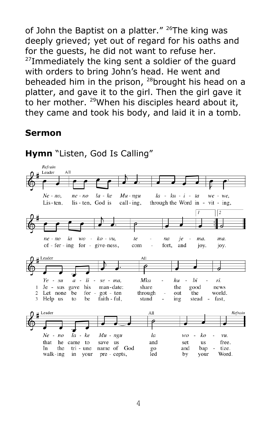of John the Baptist on a platter." <sup>26</sup>The king was deeply grieved; yet out of regard for his oaths and for the guests, he did not want to refuse her.  $^{27}$ Immediately the king sent a soldier of the guard with orders to bring John's head. He went and beheaded him in the prison,  $^{28}$ brought his head on a platter, and gave it to the girl. Then the girl gave it to her mother. <sup>29</sup>When his disciples heard about it, they came and took his body, and laid it in a tomb.

#### **Sermon**



**Hymn** "Listen, God Is Calling"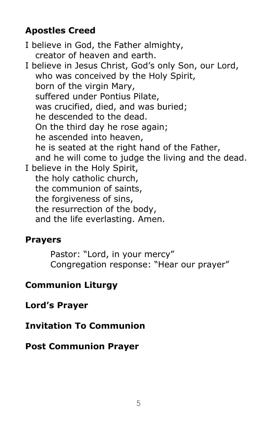## **Apostles Creed**

I believe in God, the Father almighty, creator of heaven and earth.

I believe in Jesus Christ, God's only Son, our Lord, who was conceived by the Holy Spirit, born of the virgin Mary, suffered under Pontius Pilate, was crucified, died, and was buried; he descended to the dead. On the third day he rose again; he ascended into heaven, he is seated at the right hand of the Father, and he will come to judge the living and the dead. I believe in the Holy Spirit, the holy catholic church, the communion of saints, the forgiveness of sins, the resurrection of the body, and the life everlasting. Amen.

## **Prayers**

Pastor: "Lord, in your mercy" Congregation response: "Hear our prayer"

# **Communion Liturgy**

**Lord's Prayer**

# **Invitation To Communion**

# **Post Communion Prayer**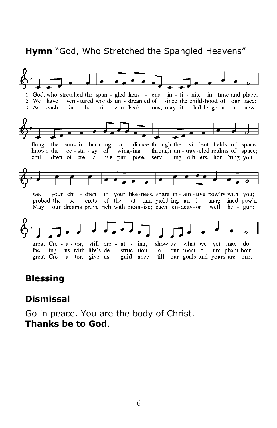#### **Hymn** "God, Who Stretched the Spangled Heavens"



#### **Blessing**

#### **Dismissal**

Go in peace. You are the body of Christ. **Thanks be to God**.